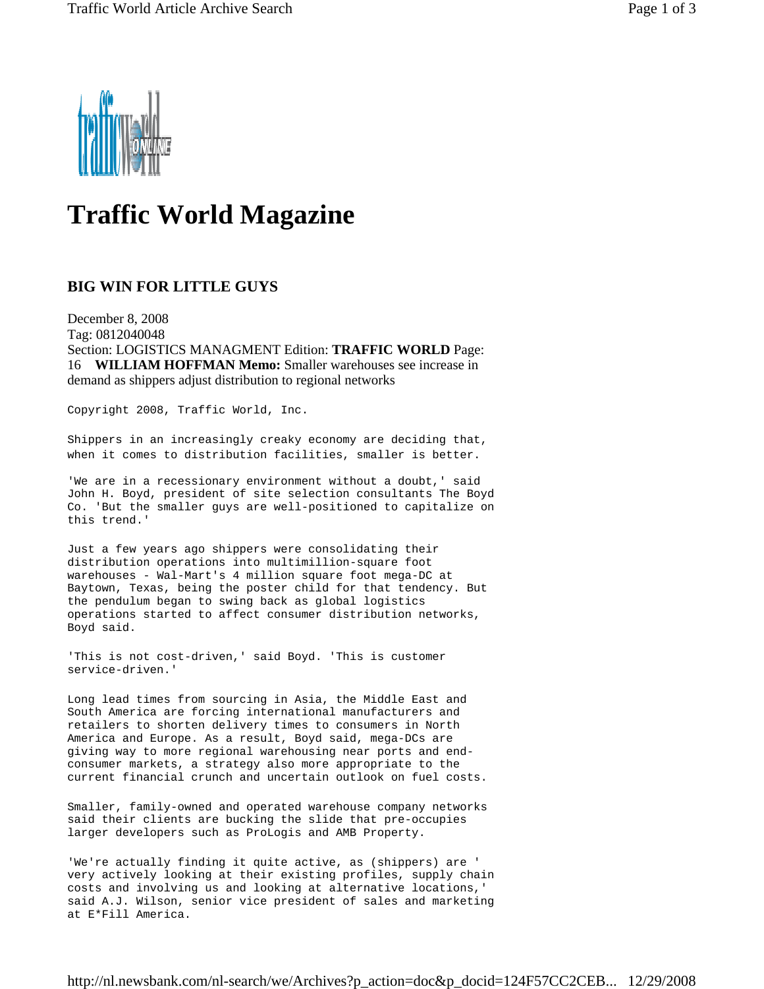

## **Traffic World Magazine**

## **BIG WIN FOR LITTLE GUYS**

December 8, 2008 Tag: 0812040048 Section: LOGISTICS MANAGMENT Edition: **TRAFFIC WORLD** Page: 16 **WILLIAM HOFFMAN Memo:** Smaller warehouses see increase in demand as shippers adjust distribution to regional networks

Copyright 2008, Traffic World, Inc.

Shippers in an increasingly creaky economy are deciding that, when it comes to distribution facilities, smaller is better.

'We are in a recessionary environment without a doubt,' said John H. Boyd, president of site selection consultants The Boyd Co. 'But the smaller guys are well-positioned to capitalize on this trend.'

Just a few years ago shippers were consolidating their distribution operations into multimillion-square foot warehouses - Wal-Mart's 4 million square foot mega-DC at Baytown, Texas, being the poster child for that tendency. But the pendulum began to swing back as global logistics operations started to affect consumer distribution networks, Boyd said.

'This is not cost-driven,' said Boyd. 'This is customer service-driven.'

Long lead times from sourcing in Asia, the Middle East and South America are forcing international manufacturers and retailers to shorten delivery times to consumers in North America and Europe. As a result, Boyd said, mega-DCs are giving way to more regional warehousing near ports and endconsumer markets, a strategy also more appropriate to the current financial crunch and uncertain outlook on fuel costs.

Smaller, family-owned and operated warehouse company networks said their clients are bucking the slide that pre-occupies larger developers such as ProLogis and AMB Property.

'We're actually finding it quite active, as (shippers) are ' very actively looking at their existing profiles, supply chain costs and involving us and looking at alternative locations,' said A.J. Wilson, senior vice president of sales and marketing at E\*Fill America.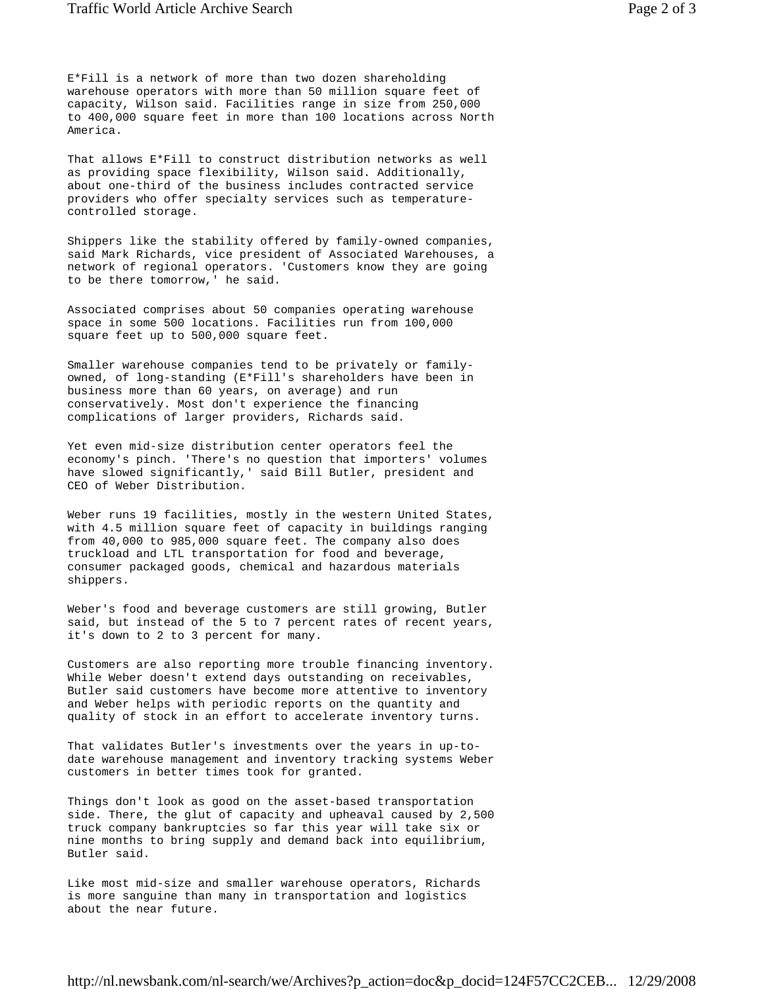E\*Fill is a network of more than two dozen shareholding warehouse operators with more than 50 million square feet of capacity, Wilson said. Facilities range in size from 250,000 to 400,000 square feet in more than 100 locations across North America.

That allows E\*Fill to construct distribution networks as well as providing space flexibility, Wilson said. Additionally, about one-third of the business includes contracted service providers who offer specialty services such as temperaturecontrolled storage.

Shippers like the stability offered by family-owned companies, said Mark Richards, vice president of Associated Warehouses, a network of regional operators. 'Customers know they are going to be there tomorrow,' he said.

Associated comprises about 50 companies operating warehouse space in some 500 locations. Facilities run from 100,000 square feet up to 500,000 square feet.

Smaller warehouse companies tend to be privately or familyowned, of long-standing (E\*Fill's shareholders have been in business more than 60 years, on average) and run conservatively. Most don't experience the financing complications of larger providers, Richards said.

Yet even mid-size distribution center operators feel the economy's pinch. 'There's no question that importers' volumes have slowed significantly,' said Bill Butler, president and CEO of Weber Distribution.

Weber runs 19 facilities, mostly in the western United States, with 4.5 million square feet of capacity in buildings ranging from 40,000 to 985,000 square feet. The company also does truckload and LTL transportation for food and beverage, consumer packaged goods, chemical and hazardous materials shippers.

Weber's food and beverage customers are still growing, Butler said, but instead of the 5 to 7 percent rates of recent years, it's down to 2 to 3 percent for many.

Customers are also reporting more trouble financing inventory. While Weber doesn't extend days outstanding on receivables, Butler said customers have become more attentive to inventory and Weber helps with periodic reports on the quantity and quality of stock in an effort to accelerate inventory turns.

That validates Butler's investments over the years in up-todate warehouse management and inventory tracking systems Weber customers in better times took for granted.

Things don't look as good on the asset-based transportation side. There, the glut of capacity and upheaval caused by 2,500 truck company bankruptcies so far this year will take six or nine months to bring supply and demand back into equilibrium, Butler said.

Like most mid-size and smaller warehouse operators, Richards is more sanguine than many in transportation and logistics about the near future.